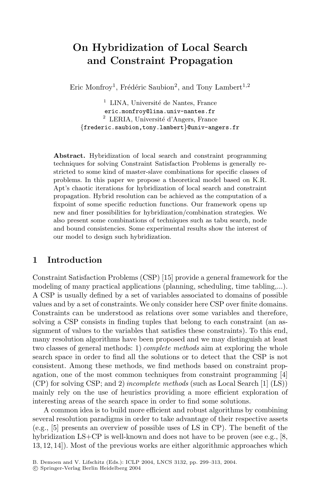# **On Hybridization of Local Search and Constraint Propagation**

Eric Monfroy<sup>1</sup>, Frédéric Saubion<sup>2</sup>, and Tony Lambert<sup>1,2</sup>

<sup>1</sup> LINA, Université de Nantes, France eric.monfroy@lina.univ-nantes.fr <sup>2</sup> LERIA, Université d'Angers, France {frederic.saubion,tony.lambert}@univ-angers.fr

**Abstract.** Hybridization of local search and constraint programming techniques for solving Constraint Satisfaction Problems is generally restricted to some kind of master-slave combinations for specific classes of problems. In this paper we propose a theoretical model based on K.R. Apt's chaotic iterations for hybridization of local search and constraint propagation. Hybrid resolution can be achieved as the computation of a fixpoint of some specific reduction functions. Our framework opens up new and finer possibilities for hybridization/combination strategies. We also present some combinations of techniques such as tabu search, node and bound consistencies. Some experimental results show the interest of our model to design such hybridization.

## **1 Introduction**

Constraint Satisfaction Problems (CSP) [15] provide a general framework for the modeling of many practical applications (planning, scheduling, time tabling,...). A CSP is usually defined by a set of variables associated to domains of possible values and by a set of constraints. We only consider here CSP over finite domains. Constraints can be understood as relations over some variables and therefore, solving a CSP consists in finding tuples that belong to each constraint (an assignment of values to the variables that satisfies these constraints). To this end, many resolution algorithms have been proposed and we may distinguish at least two classes of general methods: 1) *complete methods* aim at exploring the whole search space in order to find all the solutions or to detect that the CSP is not consistent. Among these methods, we find methods based on constraint propagation, one of the most common techniques from constraint programming [4] (CP) for solving CSP; and 2)*incomplete methods* (such as Local Search [1] (LS)) mainly rely on the use of heuristics providing a more efficient exploration of interesting areas of the search space in order to find some solutions.

A common idea is to build more efficient and robust algorithms by combining several resolution paradigms in order to take advantage of their respective assets (e.g., [5] presents an overview of possible uses of LS in CP). The benefit of the hybridization LS+CP is well-known and does not have to be proven (see e.g., [8, 13, 12, 14]). Most of the previous works are either algorithmic approaches which

B. Demoen and V. Lifschitz (Eds.): ICLP 2004, LNCS 3132, pp. 299–313, 2004.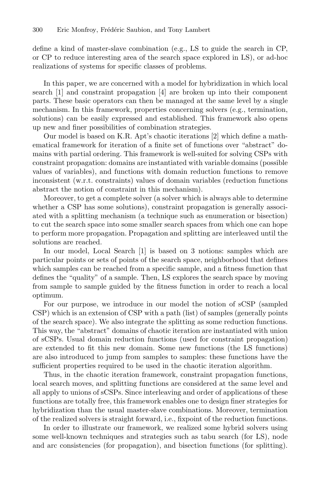define a kind of master-slave combination (e.g., LS to guide the search in CP, or CP to reduce interesting area of the search space explored in LS), or ad-hoc realizations of systems for specific classes of problems.

In this paper, we are concerned with a model for hybridization in which local search [1] and constraint propagation [4] are broken up into their component parts. These basic operators can then be managed at the same level by a single mechanism. In this framework, properties concerning solvers (e.g., termination, solutions) can be easily expressed and established. This framework also opens up new and finer possibilities of combination strategies.

Our model is based on K.R. Apt's chaotic iterations [2] which define a mathematical framework for iteration of a finite set of functions over "abstract" domains with partial ordering. This framework is well-suited for solving CSPs with constraint propagation: domains are instantiated with variable domains (possible values of variables), and functions with domain reduction functions to remove inconsistent (w.r.t. constraints) values of domain variables (reduction functions abstract the notion of constraint in this mechanism).

Moreover, to get a complete solver (a solver which is always able to determine whether a CSP has some solutions), constraint propagation is generally associated with a splitting mechanism (a technique such as enumeration or bisection) to cut the search space into some smaller search spaces from which one can hope to perform more propagation. Propagation and splitting are interleaved until the solutions are reached.

In our model, Local Search [1] is based on 3 notions: samples which are particular points or sets of points of the search space, neighborhood that defines which samples can be reached from a specific sample, and a fitness function that defines the "quality" of a sample. Then, LS explores the search space by moving from sample to sample guided by the fitness function in order to reach a local optimum.

For our purpose, we introduce in our model the notion of sCSP (sampled CSP) which is an extension of CSP with a path (list) of samples (generally points of the search space). We also integrate the splitting as some reduction functions. This way, the "abstract" domains of chaotic iteration are instantiated with union of sCSPs. Usual domain reduction functions (used for constraint propagation) are extended to fit this new domain. Some new functions (the LS functions) are also introduced to jump from samples to samples: these functions have the sufficient properties required to be used in the chaotic iteration algorithm.

Thus, in the chaotic iteration framework, constraint propagation functions, local search moves, and splitting functions are considered at the same level and all apply to unions of sCSPs. Since interleaving and order of applications of these functions are totally free, this framework enables one to design finer strategies for hybridization than the usual master-slave combinations. Moreover, termination of the realized solvers is straight forward, i.e., fixpoint of the reduction functions.

In order to illustrate our framework, we realized some hybrid solvers using some well-known techniques and strategies such as tabu search (for LS), node and arc consistencies (for propagation), and bisection functions (for splitting).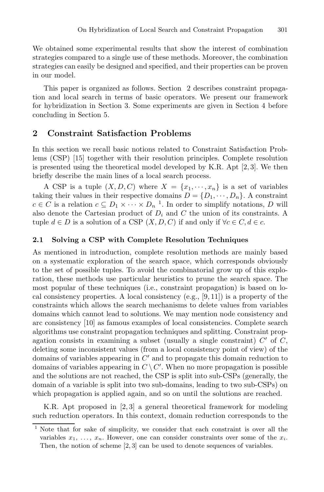We obtained some experimental results that show the interest of combination strategies compared to a single use of these methods. Moreover, the combination strategies can easily be designed and specified, and their properties can be proven in our model.

This paper is organized as follows. Section 2 describes constraint propagation and local search in terms of basic operators. We present our framework for hybridization in Section 3. Some experiments are given in Section 4 before concluding in Section 5.

## **2 Constraint Satisfaction Problems**

In this section we recall basic notions related to Constraint Satisfaction Problems (CSP) [15] together with their resolution principles. Complete resolution is presented using the theoretical model developed by K.R. Apt [2, 3]. We then briefly describe the main lines of a local search process.

A CSP is a tuple  $(X, D, C)$  where  $X = \{x_1, \dots, x_n\}$  is a set of variables taking their values in their respective domains  $D = \{D_1, \dots, D_n\}$ . A constraint  $c \in C$  is a relation  $c \subseteq D_1 \times \cdots \times D_n$ <sup>1</sup>. In order to simplify notations, D will also denote the Cartesian product of  $D_i$  and C the union of its constraints. A tuple  $d \in D$  is a solution of a CSP  $(X, D, C)$  if and only if  $\forall c \in C, d \in c$ .

#### **2.1 Solving a CSP with Complete Resolution Techniques**

As mentioned in introduction, complete resolution methods are mainly based on a systematic exploration of the search space, which corresponds obviously to the set of possible tuples. To avoid the combinatorial grow up of this exploration, these methods use particular heuristics to prune the search space. The most popular of these techniques (i.e., constraint propagation) is based on local consistency properties. A local consistency (e.g.,  $[9, 11]$ ) is a property of the constraints which allows the search mechanisms to delete values from variables domains which cannot lead to solutions. We may mention node consistency and arc consistency [10] as famous examples of local consistencies. Complete search algorithms use constraint propagation techniques and splitting. Constraint propagation consists in examining a subset (usually a single constraint)  $C'$  of  $C$ , deleting some inconsistent values (from a local consistency point of view) of the domains of variables appearing in  $C'$  and to propagate this domain reduction to domains of variables appearing in  $C \setminus C'$ . When no more propagation is possible and the solutions are not reached, the CSP is split into sub-CSPs (generally, the domain of a variable is split into two sub-domains, leading to two sub-CSPs) on which propagation is applied again, and so on until the solutions are reached.

K.R. Apt proposed in [2, 3] a general theoretical framework for modeling such reduction operators. In this context, domain reduction corresponds to the

<sup>&</sup>lt;sup>1</sup> Note that for sake of simplicity, we consider that each constraint is over all the variables  $x_1, \ldots, x_n$ . However, one can consider constraints over some of the  $x_i$ . Then, the notion of scheme [2, 3] can be used to denote sequences of variables.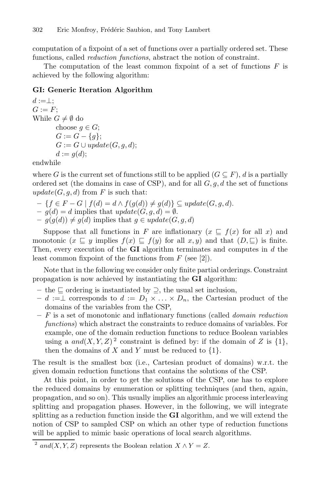computation of a fixpoint of a set of functions over a partially ordered set. These functions, called *reduction functions*, abstract the notion of constraint.

The computation of the least common fixpoint of a set of functions  $F$  is achieved by the following algorithm:

#### **GI: Generic Iteration Algorithm**

 $d := \perp$ ;  $G := F$ : While  $G \neq \emptyset$  do choose  $g \in G$ ;  $G := G - \{g\};$  $G := G \cup update(G, q, d);$  $d := g(d);$ 

endwhile

where G is the current set of functions still to be applied  $(G \subseteq F)$ , d is a partially ordered set (the domains in case of CSP), and for all  $G, g, d$  the set of functions  $update(G, q, d)$  from F is such that:

- $\{f \in F G \mid f(d) = d \wedge f(g(d)) \neq g(d)\} \subseteq update(G, g, d).$
- $q(d) = d$  implies that  $update(G, g, d) = \emptyset$ .
- $-g(g(d)) \neq g(d)$  implies that  $g \in update(G, g, d)$

Suppose that all functions in F are inflationary  $(x \sqsubseteq f(x))$  for all x) and monotonic  $(x \subseteq y$  implies  $f(x) \subseteq f(y)$  for all  $x, y$ ) and that  $(D, \subseteq)$  is finite. Then, every execution of the **GI** algorithm terminates and computes in d the least common fixpoint of the functions from  $F$  (see [2]).

Note that in the following we consider only finite partial orderings. Constraint propagation is now achieved by instantiating the **GI** algorithm:

- **–** the ordering is instantiated by ⊇, the usual set inclusion,
- $d := \perp$  corresponds to  $d := D_1 \times \ldots \times D_n$ , the Cartesian product of the domains of the variables from the CSP,
- **–** F is a set of monotonic and inflationary functions (called *domain reduction functions*) which abstract the constraints to reduce domains of variables. For example, one of the domain reduction functions to reduce Boolean variables using a  $and(X, Y, Z)^2$  constraint is defined by: if the domain of Z is  $\{1\}$ , then the domains of  $X$  and  $Y$  must be reduced to  $\{1\}.$

The result is the smallest box (i.e., Cartesian product of domains) w.r.t. the given domain reduction functions that contains the solutions of the CSP.

At this point, in order to get the solutions of the CSP, one has to explore the reduced domains by enumeration or splitting techniques (and then, again, propagation, and so on). This usually implies an algorithmic process interleaving splitting and propagation phases. However, in the following, we will integrate splitting as a reduction function inside the **GI** algorithm, and we will extend the notion of CSP to sampled CSP on which an other type of reduction functions will be applied to mimic basic operations of local search algorithms.

<sup>&</sup>lt;sup>2</sup> and(X, Y, Z) represents the Boolean relation  $X \wedge Y = Z$ .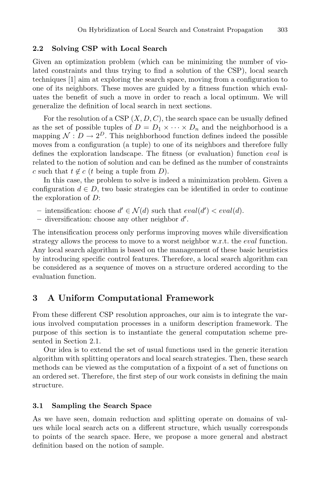#### **2.2 Solving CSP with Local Search**

Given an optimization problem (which can be minimizing the number of violated constraints and thus trying to find a solution of the CSP), local search techniques [1] aim at exploring the search space, moving from a configuration to one of its neighbors. These moves are guided by a fitness function which evaluates the benefit of such a move in order to reach a local optimum. We will generalize the definition of local search in next sections.

For the resolution of a CSP  $(X, D, C)$ , the search space can be usually defined as the set of possible tuples of  $D = D_1 \times \cdots \times D_n$  and the neighborhood is a mapping  $\mathcal{N}: D \to 2^D$ . This neighborhood function defines indeed the possible moves from a configuration (a tuple) to one of its neighbors and therefore fully defines the exploration landscape. The fitness (or evaluation) function eval is related to the notion of solution and can be defined as the number of constraints c such that  $t \notin c$  (t being a tuple from D).

In this case, the problem to solve is indeed a minimization problem. Given a configuration  $d \in D$ , two basic strategies can be identified in order to continue the exploration of D:

- **−** intensification: choose  $d' \in \mathcal{N}(d)$  such that  $eval(d') < eval(d)$ .
- $-$  diversification: choose any other neighbor  $d'$ .

The intensification process only performs improving moves while diversification strategy allows the process to move to a worst neighbor w.r.t. the *eval* function. Any local search algorithm is based on the management of these basic heuristics by introducing specific control features. Therefore, a local search algorithm can be considered as a sequence of moves on a structure ordered according to the evaluation function.

## **3 A Uniform Computational Framework**

From these different CSP resolution approaches, our aim is to integrate the various involved computation processes in a uniform description framework. The purpose of this section is to instantiate the general computation scheme presented in Section 2.1.

Our idea is to extend the set of usual functions used in the generic iteration algorithm with splitting operators and local search strategies. Then, these search methods can be viewed as the computation of a fixpoint of a set of functions on an ordered set. Therefore, the first step of our work consists in defining the main structure.

#### **3.1 Sampling the Search Space**

As we have seen, domain reduction and splitting operate on domains of values while local search acts on a different structure, which usually corresponds to points of the search space. Here, we propose a more general and abstract definition based on the notion of sample.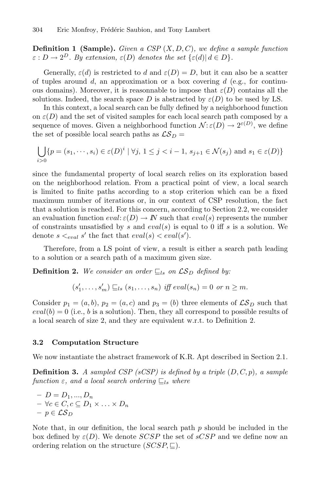**Definition 1 (Sample).** *Given a CSP*  $(X, D, C)$ *, we define a sample function*  $\varepsilon : D \to 2^D$ *. By extension,*  $\varepsilon(D)$  *denotes the set*  $\{\varepsilon(d) | d \in D\}$ *.* 

Generally,  $\varepsilon(d)$  is restricted to d and  $\varepsilon(D) = D$ , but it can also be a scatter of tuples around d, an approximation or a box covering  $d$  (e.g., for continuous domains). Moreover, it is reasonnable to impose that  $\varepsilon(D)$  contains all the solutions. Indeed, the search space D is abstracted by  $\varepsilon(D)$  to be used by LS.

In this context, a local search can be fully defined by a neighborhood function on  $\varepsilon(D)$  and the set of visited samples for each local search path composed by a sequence of moves. Given a neighborhood function  $\mathcal{N} : \varepsilon(D) \to 2^{\varepsilon(D)}$ , we define the set of possible local search paths as  $\mathcal{LS}_D =$ 

$$
\bigcup_{i>0} \{p = (s_1, \dots, s_i) \in \varepsilon(D)^i \mid \forall j, 1 \le j < i-1, s_{j+1} \in \mathcal{N}(s_j) \text{ and } s_1 \in \varepsilon(D)\}
$$

since the fundamental property of local search relies on its exploration based on the neighborhood relation. From a practical point of view, a local search is limited to finite paths according to a stop criterion which can be a fixed maximum number of iterations or, in our context of CSP resolution, the fact that a solution is reached. For this concern, according to Section 2.2, we consider an evaluation function  $eval: \varepsilon(D) \to \mathbb{N}$  such that  $eval(s)$  represents the number of constraints unsatisfied by s and  $eval(s)$  is equal to 0 iff s is a solution. We denote  $s \leq_{eval} s'$  the fact that  $eval(s) < eval(s')$ .

Therefore, from a LS point of view, a result is either a search path leading to a solution or a search path of a maximum given size.

**Definition 2.** We consider an order  $\sqsubseteq_{ls}$  on  $\mathcal{LS}_D$  defined by:

$$
(s'_1,\ldots,s'_m)\sqsubseteq_{ls} (s_1,\ldots,s_n)
$$
 iff eval $(s_n)=0$  or  $n\geq m$ .

Consider  $p_1 = (a, b), p_2 = (a, c)$  and  $p_3 = (b)$  three elements of  $\mathcal{LS}_D$  such that  $eval(b) = 0$  (i.e., b is a solution). Then, they all correspond to possible results of a local search of size 2, and they are equivalent w.r.t. to Definition 2.

#### **3.2 Computation Structure**

We now instantiate the abstract framework of K.R. Apt described in Section 2.1.

**Definition 3.** *A sampled CSP (sCSP) is defined by a triple*  $(D, C, p)$ *, a sample function*  $\varepsilon$ *, and a local search ordering*  $\subseteq$ <sub>*ls</sub>* where</sub>

$$
- D = D_1, ..., D_n
$$
  
-  $\forall c \in C, c \subseteq D_1 \times ... \times D_n$   
-  $p \in \mathcal{LS}_D$ 

Note that, in our definition, the local search path  $p$  should be included in the box defined by  $\varepsilon(D)$ . We denote  $SCSP$  the set of  $sCSP$  and we define now an ordering relation on the structure  $(SCSP, \sqsubseteq)$ .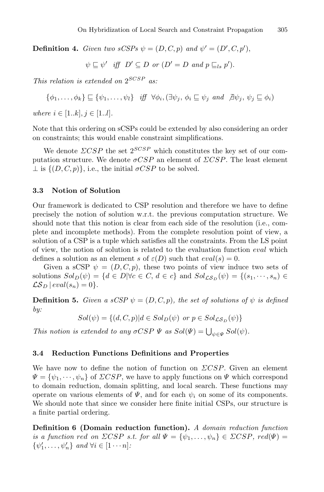**Definition 4.** *Given two sCSPs*  $\psi = (D, C, p)$  *and*  $\psi' = (D', C, p')$ ,

 $\psi \sqsubseteq \psi'$  iff  $D' \subseteq D$  or  $(D' = D$  and  $p \sqsubseteq_{ls} p'$ .

*This relation is extended on* 2SCSP *as:*

$$
\{\phi_1, \ldots, \phi_k\} \sqsubseteq \{\psi_1, \ldots, \psi_l\} \text{ iff } \forall \phi_i, (\exists \psi_j, \phi_i \sqsubseteq \psi_j \text{ and } \exists \psi_j, \psi_j \sqsubseteq \phi_i)
$$

*where*  $i \in [1..k], j \in [1..l].$ 

Note that this ordering on sCSPs could be extended by also considering an order on constraints; this would enable constraint simplifications.

We denote  $\triangle CSP$  the set  $2^{SCSP}$  which constitutes the key set of our computation structure. We denote  $\sigma CSP$  an element of  $\Sigma CSP$ . The least element  $\perp$  is  $\{(D, C, p)\}\$ , i.e., the initial  $\sigma CSP$  to be solved.

#### **3.3 Notion of Solution**

Our framework is dedicated to CSP resolution and therefore we have to define precisely the notion of solution w.r.t. the previous computation structure. We should note that this notion is clear from each side of the resolution (i.e., complete and incomplete methods). From the complete resolution point of view, a solution of a CSP is a tuple which satisfies all the constraints. From the LS point of view, the notion of solution is related to the evaluation function eval which defines a solution as an element s of  $\varepsilon(D)$  such that  $eval(s) = 0$ .

Given a sCSP  $\psi = (D, C, p)$ , these two points of view induce two sets of solutions  $Sol_D(\psi) = \{d \in D | \forall c \in C, d \in c\}$  and  $Sol_{\mathcal{LS}_D}(\psi) = \{(s_1, \dots, s_n) \in$  $\mathcal{LS}_D$  | eval(s<sub>n</sub>) = 0}.

**Definition 5.** *Given a sCSP*  $\psi = (D, C, p)$ *, the set of solutions of*  $\psi$  *is defined by:*

 $Sol(\psi) = \{(d, C, p)| d \in Sol_D(\psi) \text{ or } p \in Sol_{\mathcal{LS}_D}(\psi)\}\$ 

*This notion is extended to any*  $\sigma CSP \Psi$  *as*  $Sol(\Psi) = \bigcup_{\psi \in \Psi} Sol(\psi)$ *.* 

#### **3.4 Reduction Functions Definitions and Properties**

We have now to define the notion of function on  $\Sigma CSP$ . Given an element  $\Psi = {\psi_1, \dots, \psi_n}$  of  $\Sigma CSP$ , we have to apply functions on  $\Psi$  which correspond to domain reduction, domain splitting, and local search. These functions may operate on various elements of  $\Psi$ , and for each  $\psi_i$  on some of its components. We should note that since we consider here finite initial CSPs, our structure is a finite partial ordering.

**Definition 6 (Domain reduction function).** *A domain reduction function is a function red on*  $\Sigma CSP$  *s.t. for all*  $\Psi = {\psi_1, \ldots, \psi_n} \in \Sigma CSP$ ,  $red(\Psi)$  $\{\psi'_1, \ldots, \psi'_n\}$  and  $\forall i \in [1 \cdots n]$ :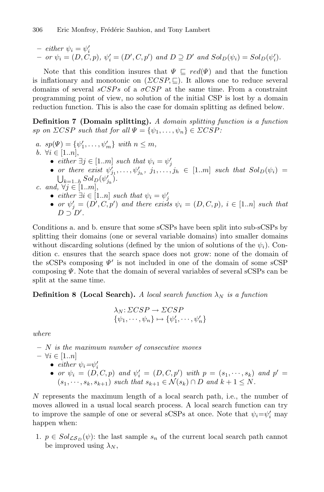$-$  either  $\psi_i = \psi'_i$  $\rho - or \psi_i = (D, C, p), \psi'_i = (D', C, p') \text{ and } D \supseteq D' \text{ and } Sol_D(\psi_i) = Sol_D(\psi'_i).$ 

Note that this condition insures that  $\Psi \subseteq red(\Psi)$  and that the function is inflationary and monotonic on  $(\Sigma CSP, \subseteq)$ . It allows one to reduce several domains of several  $sCSPs$  of a  $\sigma CSP$  at the same time. From a constraint programming point of view, no solution of the initial CSP is lost by a domain reduction function. This is also the case for domain splitting as defined below.

**Definition 7 (Domain splitting).** *A domain splitting function is a function* sp on  $\Sigma CSP$  such that for all  $\Psi = {\psi_1, \ldots, \psi_n} \in \Sigma CSP$ :

- *a.*  $sp(\Psi) = {\psi'_1, \ldots, \psi'_m} \text{ with } n \leq m,$ *b.*  $\forall i \in [1..n],$ •  $either \; \exists j \in [1..m] \; such \; that \; \psi_i = \psi'_i$ •  $i$  *or there exist*  $\psi'_j$ ,  $\ldots$ ,  $\psi'_{j_h}$ ,  $j_1$ ,  $\ldots$ ,  $j_h$   $\in$  [1.*m*] *such that*  $Sol_D(\psi_i)$  =  $\bigcup_{k=1..h} Sol_D(\psi'_{j_k}).$ *c.* and,  $\forall j \in [1..m],$ 
	-
	- *either*  $\exists i \in [1..n]$  *such that*  $\psi_i = \psi'_j$ <br>• *or*  $\psi'_j = (D', C, p')$  *and there exists*  $\psi_i = (D, C, p)$ *,*  $i \in [1..n]$  *such that*  $D \supset D'.$

Conditions a. and b. ensure that some sCSPs have been split into sub-sCSPs by splitting their domains (one or several variable domains) into smaller domains without discarding solutions (defined by the union of solutions of the  $\psi_i$ ). Condition c. ensures that the search space does not grow: none of the domain of the sCSPs composing  $\Psi'$  is not included in one of the domain of some sCSP composing  $\Psi$ . Note that the domain of several variables of several sCSPs can be split at the same time.

**Definition 8 (Local Search).** *A local search function*  $\lambda_N$  *is a function* 

$$
\lambda_N: \Sigma CSP \to \Sigma CSP \{\psi_1, \cdots, \psi_n\} \mapsto {\psi'_1, \cdots, \psi'_n}
$$

*where*

- **–** N *is the maximum number of consecutive moves*
- **–** ∀i ∈ [1..n]
	- $\epsilon$ *ither*  $\psi_i = \psi'_i$
	- *or*  $\psi_i = (D, C, p)$  *and*  $\psi'_i = (D, C, p')$  *with*  $p = (s_1, \dots, s_k)$  *and*  $p' =$  $(s_1, \dots, s_k, s_{k+1})$  *such that*  $s_{k+1} \in \mathcal{N}(s_k) \cap D$  *and*  $k+1 \leq N$ *.*

N represents the maximum length of a local search path, i.e., the number of moves allowed in a usual local search process. A local search function can try to improve the sample of one or several sCSPs at once. Note that  $\psi_i = \psi'_i$  may happen when:

1.  $p \in Sol_{\mathcal{LS}_D}(\psi)$ : the last sample  $s_n$  of the current local search path cannot be improved using  $\lambda_N$ ,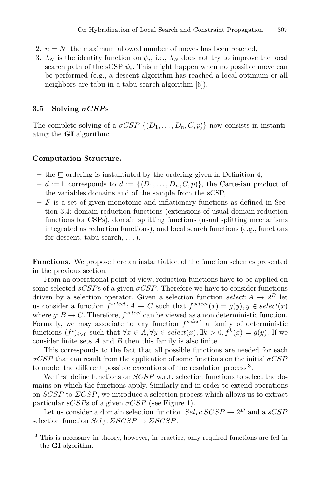- 2.  $n = N$ : the maximum allowed number of moves has been reached,
- 3.  $\lambda_N$  is the identity function on  $\psi_i$ , i.e.,  $\lambda_N$  does not try to improve the local search path of the sCSP  $\psi_i$ . This might happen when no possible move can be performed (e.g., a descent algorithm has reached a local optimum or all neighbors are tabu in a tabu search algorithm [6]).

#### **3.5** Solving  $\sigma CSPs$

The complete solving of a  $\sigma CSP \{(D_1,\ldots,D_n,C,p)\}\)$  now consists in instantiating the **GI** algorithm:

#### **Computation Structure.**

- the  $\subseteq$  ordering is instantiated by the ordering given in Definition 4,
- $− d := \perp$  corresponds to  $d := \{(D_1, \ldots, D_n, C, p)\}\$ , the Cartesian product of the variables domains and of the sample from the sCSP,
- **–** F is a set of given monotonic and inflationary functions as defined in Section 3.4: domain reduction functions (extensions of usual domain reduction functions for CSPs), domain splitting functions (usual splitting mechanisms integrated as reduction functions), and local search functions (e.g., functions for descent, tabu search, . . . ).

**Functions.** We propose here an instantiation of the function schemes presented in the previous section.

From an operational point of view, reduction functions have to be applied on some selected  $sCSPs$  of a given  $\sigma CSP$ . Therefore we have to consider functions driven by a selection operator. Given a selection function  $select: A \rightarrow 2^B$  let us consider a function  $f^{select}: A \rightarrow C$  such that  $f^{select}(x) = q(y), y \in select(x)$ where  $g: B \to C$ . Therefore,  $f^{select}$  can be viewed as a non deterministic function. Formally, we may associate to any function  $f^{select}$  a family of deterministic functions  $(f<sup>i</sup>)<sub>i>0</sub>$  such that  $\forall x \in A, \forall y \in select(x), \exists k > 0, f<sup>k</sup>(x) = g(y)$ . If we consider finite sets  $A$  and  $B$  then this family is also finite.

This corresponds to the fact that all possible functions are needed for each  $\sigma CSP$  that can result from the application of some functions on the initial  $\sigma CSP$ to model the different possible executions of the resolution process <sup>3</sup>.

We first define functions on  $SCSP$  w.r.t. selection functions to select the domains on which the functions apply. Similarly and in order to extend operations on  $SCSP$  to  $\Sigma CSP$ , we introduce a selection process which allows us to extract particular  $sCSPs$  of a given  $\sigma CSP$  (see Figure 1).

Let us consider a domain selection function  $Sel_D \colon SCSP \rightarrow 2^D$  and a  $sCSP$ selection function  $Sel_{\psi}: \Sigma SCSP \rightarrow \Sigma SCSP$ .

<sup>3</sup> This is necessary in theory, however, in practice, only required functions are fed in the **GI** algorithm.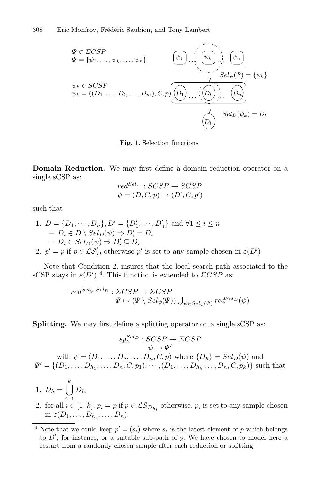

**Fig. 1.** Selection functions

**Domain Reduction.** We may first define a domain reduction operator on a single sCSP as:

$$
red^{Sel_D} : SCSP \rightarrow SCSP
$$
  

$$
\psi = (D, C, p) \mapsto (D', C, p')
$$

such that

\n- 1. 
$$
D = \{D_1, \dots, D_n\}, D' = \{D'_1, \dots, D'_n\}
$$
 and  $\forall 1 \leq i \leq n$ \n $-D_i \in D \setminus Sel_D(\psi) \Rightarrow D'_i = D_i$ \n $-D_i \in Sel_D(\psi) \Rightarrow D'_i \subseteq D_i$ \n
\n- 2.  $p' = p$  if  $p \in \mathcal{LS}'_D$  otherwise  $p'$  is set to any sample chosen in  $\varepsilon(D')$
\n

Note that Condition 2. insures that the local search path associated to the sCSP stays in  $\varepsilon(D')$ <sup>4</sup>. This function is extended to  $\triangle CSP$  as:

$$
red^{Sel_{\psi}, Sel_D}: \Sigma CSP \to \Sigma CSP \Psi \mapsto (\Psi \setminus Sel_{\psi}(\Psi)) \bigcup_{\psi \in Sel_{\psi}(\Psi)} red^{Sel_D}(\psi)
$$

**Splitting.** We may first define a splitting operator on a single sCSP as:

$$
sp_k^{SelD}: SCSP \to \Sigma CSP
$$
  
\nwith  $\psi = (D_1, \ldots, D_h, \ldots, D_n, C, p)$  where  $\{D_h\} = Sel_D(\psi)$  and  
\n $\Psi' = \{(D_1, \ldots, D_{h_1}, \ldots, D_n, C, p_1), \cdots, (D_1, \ldots, D_{h_k} \ldots, D_n, C, p_k)\}$  such that

- 1.  $D_h = \begin{pmatrix} \end{pmatrix}$ k  $i=1$  $D_{h_i}$
- 2. for all  $i \in [1..k], p_i = p$  if  $p \in \mathcal{LS}_{D_{h_i}}$  otherwise,  $p_i$  is set to any sample chosen in  $\varepsilon(D_1,\ldots,D_{h_i},\ldots,D_n)$ .

<sup>&</sup>lt;sup>4</sup> Note that we could keep  $p' = (s_i)$  where  $s_i$  is the latest element of p which belongs to  $D'$ , for instance, or a suitable sub-path of p. We have chosen to model here a restart from a randomly chosen sample after each reduction or splitting.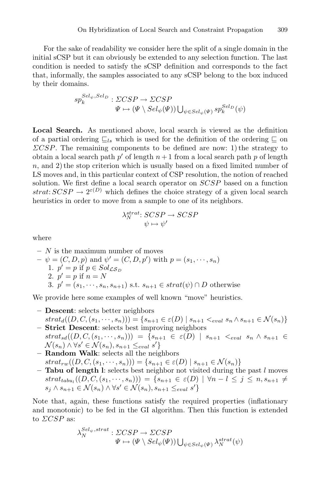For the sake of readability we consider here the split of a single domain in the initial sCSP but it can obviously be extended to any selection function. The last condition is needed to satisfy the sCSP definition and corresponds to the fact that, informally, the samples associated to any sCSP belong to the box induced by their domains.

$$
sp_k^{Sel_{\psi}, Sel_D}: \Sigma CSP \to \Sigma CSP
$$
  

$$
\Psi \mapsto (\Psi \setminus Sel_{\psi}(\Psi)) \bigcup_{\psi \in Sel_{\psi}(\Psi)} sp_k^{Sel_D}(\psi)
$$

**Local Search.** As mentioned above, local search is viewed as the definition of a partial ordering  $\sqsubseteq_{ls}$  which is used for the definition of the ordering  $\sqsubseteq$  on  $\angle$ *ZCSP*. The remaining components to be defined are now: 1) the strategy to obtain a local search path  $p'$  of length  $n+1$  from a local search path p of length  $n$ , and 2) the stop criterion which is usually based on a fixed limited number of LS moves and, in this particular context of CSP resolution, the notion of reached solution. We first define a local search operator on SCSP based on a function strat:  $SCSP \rightarrow 2^{\epsilon(D)}$  which defines the choice strategy of a given local search heuristics in order to move from a sample to one of its neighbors.

$$
\lambda_N^{strat}: SCSP \to SCSF
$$
  

$$
\psi \mapsto \psi'
$$

where

**–** N is the maximum number of moves  $-\psi = (C, D, p)$  and  $\psi' = (C, D, p')$  with  $p = (s_1, \dots, s_n)$ 1.  $p' = p$  if  $p \in Sol_{\mathcal{LS}_D}$ 2.  $p' = p$  if  $n = N$ 3.  $p' = (s_1, \dots, s_n, s_{n+1})$  s.t.  $s_{n+1} \in strat(\psi) \cap D$  otherwise

We provide here some examples of well known "move" heuristics.

- **Descent**: selects better neighbors  $strat_d((D, C, (s_1, \dots, s_n))) = \{s_{n+1} \in \varepsilon(D) \mid s_{n+1} <_{eval} s_n \land s_{n+1} \in \mathcal{N}(s_n)\}\$
- **Strict Descent**: selects best improving neighbors  $strat_{sd}((D, C, (s_1, \cdots, s_n))) = \{s_{n+1} \in \varepsilon(D) \mid s_{n+1} <_{eval} s_n \wedge s_{n+1} \in$  $\mathcal{N}(s_n) \wedge \forall s' \in \mathcal{N}(s_n), s_{n+1} \leq_{eval} s' \}$
- **Random Walk**: selects all the neighbors  $strat_{rw}((D, C, (s_1, \dots, s_n))) = \{s_{n+1} \in \varepsilon(D) \mid s_{n+1} \in \mathcal{N}(s_n)\}\$
- **Tabu of length l**: selects best neighbor not visited during the past l moves  $strat_{tabu_l}((D, C, (s_1, \cdots, s_n))) = \{s_{n+1} \in \varepsilon(D) \mid \forall n-l \leq j \leq n, s_{n+1} \neq j \leq n\}$  $s_j \wedge s_{n+1} \in \mathcal{N}(s_n) \wedge \forall s' \in \mathcal{N}(s_n), s_{n+1} \le_{eval} s' \}$

Note that, again, these functions satisfy the required properties (inflationary and monotonic) to be fed in the GI algorithm. Then this function is extended to  $\angle CSP$  as:

$$
\lambda_N^{Sel_{\psi},strat}: \Sigma CSP \to \Sigma CSP
$$
  

$$
\Psi \mapsto (\Psi \setminus Sel_{\psi}(\Psi)) \bigcup_{\psi \in Sel_{\psi}(\Psi)} \lambda_N^{strat}(\psi)
$$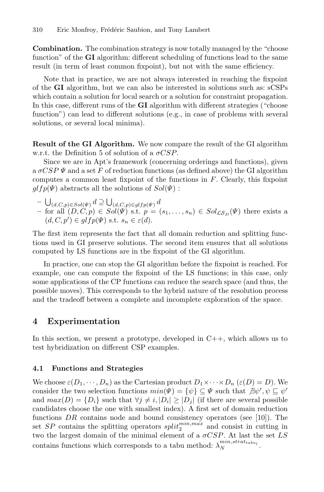**Combination.** The combination strategy is now totally managed by the "choose function" of the **GI** algorithm: different scheduling of functions lead to the same result (in term of least common fixpoint), but not with the same efficiency.

Note that in practice, we are not always interested in reaching the fixpoint of the **GI** algorithm, but we can also be interested in solutions such as: sCSPs which contain a solution for local search or a solution for constraint propagation. In this case, different runs of the **GI** algorithm with different strategies ("choose function") can lead to different solutions (e.g., in case of problems with several solutions, or several local minima).

**Result of the GI Algorithm.** We now compare the result of the GI algorithm w.r.t. the Definition 5 of solution of a  $\sigma CSP$ .

Since we are in Apt's framework (concerning orderings and functions), given a  $\sigma CSP \Psi$  and a set F of reduction functions (as defined above) the GI algorithm computes a common least fixpoint of the functions in  $F$ . Clearly, this fixpoint  $glfp(\Psi)$  abstracts all the solutions of  $Sol(\Psi)$ :

 $- \bigcup_{(d,C,p)\in Sol(\Psi)} d \supseteq \bigcup_{(d,C,p)\in glfp(\Psi)} d$ – for all  $(D, C, p)$  ∈  $Sol(\Psi)$  s.t.  $p = (s_1, \ldots, s_n)$  ∈  $Sol_{\mathcal{LS}_D}(\Psi)$  there exists a  $(d, C, p') \in glfp(\Psi) \text{ s.t. } s_n \in \varepsilon(d).$ 

The first item represents the fact that all domain reduction and splitting functions used in GI preserve solutions. The second item ensures that all solutions computed by LS functions are in the fixpoint of the GI algorithm.

In practice, one can stop the GI algorithm before the fixpoint is reached. For example, one can compute the fixpoint of the LS functions; in this case, only some applications of the CP functions can reduce the search space (and thus, the possible moves). This corresponds to the hybrid nature of the resolution process and the tradeoff between a complete and incomplete exploration of the space.

## **4 Experimentation**

In this section, we present a prototype, developed in  $C_{++}$ , which allows us to test hybridization on different CSP examples.

### **4.1 Functions and Strategies**

We choose  $\varepsilon(D_1,\dots,D_n)$  as the Cartesian product  $D_1\times \dots \times D_n$  ( $\varepsilon(D) = D$ ). We consider the two selection functions  $min(\Psi) = {\psi} \subseteq \Psi$  such that  $\exists \psi', \psi \subseteq \psi'$ and  $max(D) = \{D_i\}$  such that  $\forall j \neq i, |D_i| \geq |D_j|$  (if there are several possible candidates choose the one with smallest index). A first set of domain reduction functions  $DR$  contains node and bound consistency operators (see [10]). The set  $SP$  contains the splitting operators  $split^{min,max}_{2}$  and consist in cutting in two the largest domain of the minimal element of a  $\sigma CSP$ . At last the set LS contains functions which corresponds to a tabu method:  $\lambda_N^{min,stratt_{abu}}$ .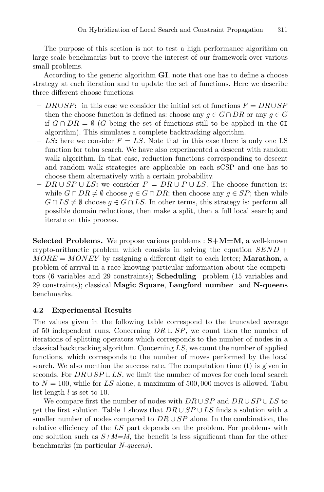The purpose of this section is not to test a high performance algorithm on large scale benchmarks but to prove the interest of our framework over various small problems.

According to the generic algorithm **GI**, note that one has to define a choose strategy at each iteration and to update the set of functions. Here we describe three different choose functions:

- $DR \cup SP$ : in this case we consider the initial set of functions  $F = DR \cup SP$ then the choose function is defined as: choose any  $q \in G \cap DR$  or any  $q \in G$ if  $G \cap DR = \emptyset$  (G being the set of functions still to be applied in the GI algorithm). This simulates a complete backtracking algorithm.
- $-$  LS: here we consider  $F = LS$ . Note that in this case there is only one LS function for tabu search. We have also experimented a descent with random walk algorithm. In that case, reduction functions corresponding to descent and random walk strategies are applicable on each sCSP and one has to choose them alternatively with a certain probability.
- $DR ∪ SP ∪ LS$ **:** we consider  $F = DR ∪ P ∪ LS$ . The choose function is: while  $G \cap DR \neq \emptyset$  choose  $g \in G \cap DR$ ; then choose any  $g \in SP$ ; then while  $G \cap LS \neq \emptyset$  choose  $g \in G \cap LS$ . In other terms, this strategy is: perform all possible domain reductions, then make a split, then a full local search; and iterate on this process.

**Selected Problems.** We propose various problems : **S+M=M**, a well-known crypto-arithmetic problem which consists in solving the equation  $SEND +$  $MORE = MONEY$  by assigning a different digit to each letter; **Marathon**, a problem of arrival in a race knowing particular information about the competitors (6 variables and 29 constraints); **Scheduling** problem (15 variables and 29 constraints); classical **Magic Square**, **Langford number** and **N-queens** benchmarks.

#### **4.2 Experimental Results**

The values given in the following table correspond to the truncated average of 50 independent runs. Concerning  $DR \cup SP$ , we count then the number of iterations of splitting operators which corresponds to the number of nodes in a classical backtracking algorithm. Concerning LS, we count the number of applied functions, which corresponds to the number of moves performed by the local search. We also mention the success rate. The computation time (t) is given in seconds. For  $DR \cup SP \cup LS$ , we limit the number of moves for each local search to  $N = 100$ , while for LS alone, a maximum of 500,000 moves is allowed. Tabu list length l is set to 10.

We compare first the number of nodes with  $DR \cup SP$  and  $DR \cup SP \cup LS$  to get the first solution. Table 1 shows that  $DR \cup SP \cup LS$  finds a solution with a smaller number of nodes compared to  $DR \cup SP$  alone. In the combination, the relative efficiency of the LS part depends on the problem. For problems with one solution such as  $S+M=M$ , the benefit is less significant than for the other benchmarks (in particular *N-queens*).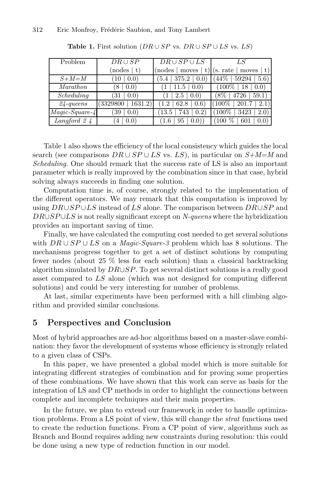| Problem                   | $DR \cup SP$         | $DR \cup SP \cup LS$   | LS                        |
|---------------------------|----------------------|------------------------|---------------------------|
|                           | $(\text{nodes}   t)$ | (nodes<br>t)<br>moves  | $(s. rate \mid moves)$    |
| $S+M=M$                   | (0.0)<br>. IO -      | 375.2<br>(0.0)<br>5.4  | $44\%$<br>59294<br>5.6)   |
| <i>Marathon</i>           | 8<br>(0.0)           | 11.5<br>(0.0)          | $(100\%$<br>18<br>(0.0)   |
| Scheduling                | (0.0)<br>31          | 2.5<br>(0.0)           | 4726<br>(8%<br>59.1)      |
| $24$ -queens              | 1631.2)<br>(3329800  | 62.8<br>(0.6)<br>(1.2) | 2.1)<br>$(100\%$<br>201.7 |
| $\textit{magic-Square-4}$ | 39<br>(0.0)          | 13.5<br>743<br>(0.2)   | $100\%$<br>3423<br>(2.0)  |
| Langford $24$             | (0.0)<br>4           | 95<br>$1.6\,$<br>(0.0) | $\%$<br>100<br>601        |

Table 1. First solution  $(DR \cup SP \text{ vs. } DR \cup SP \cup LS \text{ vs. } LS)$ 

Table 1 also shows the efficiency of the local consistency which guides the local search (see comparisons DR ∪ SP ∪ LS vs. LS), in particular on *S+M=M* and *Scheduling*. One should remark that the success rate of LS is also an important parameter which is really improved by the combination since in that case, hybrid solving always succeeds in finding one solution.

Computation time is, of course, strongly related to the implementation of the different operators. We may remark that this computation is improved by using  $DR ∪ SP ∪ LS$  instead of LS alone. The comparison between  $DR ∪ SP$  and DR∪SP∪LS is not really significant except on *N-queens* where the hybridization provides an important saving of time.

Finally, we have calculated the computing cost needed to get several solutions with DR ∪ SP ∪ LS on a *Magic-Square-3* problem which has 8 solutions. The mechanisms progress together to get a set of distinct solutions by computing fewer nodes (about 25 % less for each solution) than a classical backtracking algorithm simulated by  $DR \cup SP$ . To get several distinct solutions is a really good asset compared to LS alone (which was not designed for computing different solutions) and could be very interesting for number of problems.

At last, similar experiments have been performed with a hill climbing algorithm and provided similar conclusions.

## **5 Perspectives and Conclusion**

Most of hybrid approaches are ad-hoc algorithms based on a master-slave combination: they favor the development of systems whose efficiency is strongly related to a given class of CSPs.

In this paper, we have presented a global model which is more suitable for integrating different strategies of combination and for proving some properties of these combinations. We have shown that this work can serve as basis for the integration of LS and CP methods in order to highlight the connections between complete and incomplete techniques and their main properties.

In the future, we plan to extend our framework in order to handle optimization problems. From a LS point of view, this will change the *strat* functions used to create the reduction functions. From a CP point of view, algorithms such as Branch and Bound requires adding new constraints during resolution: this could be done using a new type of reduction function in our model.